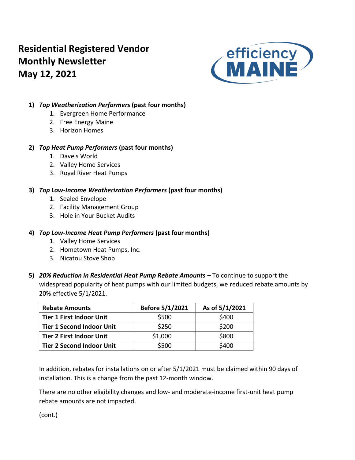# **Residential Registered Vendor Monthly Newsletter May 12, 2021**



## **1)** *Top Weatherization Performers* **(past four months)**

- 1. Evergreen Home Performance
- 2. Free Energy Maine
- 3. Horizon Homes

## **2)** *Top Heat Pump Performers* **(past four months)**

- 1. Dave's World
- 2. Valley Home Services
- 3. Royal River Heat Pumps

## **3)** *Top Low-Income Weatherization Performers* **(past four months)**

- 1. Sealed Envelope
- 2. Facility Management Group
- 3. Hole in Your Bucket Audits

## **4)** *Top Low-Income Heat Pump Performers* **(past four months)**

- 1. Valley Home Services
- 2. Hometown Heat Pumps, Inc.
- 3. Nicatou Stove Shop
- **5)** *20% Reduction in Residential Heat Pump Rebate Amounts –* To continue to support the widespread popularity of heat pumps with our limited budgets, we reduced rebate amounts by 20% effective 5/1/2021.

| <b>Rebate Amounts</b>            | Before 5/1/2021 | As of 5/1/2021 |
|----------------------------------|-----------------|----------------|
| <b>Tier 1 First Indoor Unit</b>  | \$500           | \$400          |
| <b>Tier 1 Second Indoor Unit</b> | \$250           | \$200          |
| <b>Tier 2 First Indoor Unit</b>  | \$1,000         | \$800          |
| <b>Tier 2 Second Indoor Unit</b> | \$500           | \$400          |

In addition, rebates for installations on or after 5/1/2021 must be claimed within 90 days of installation. This is a change from the past 12-month window.

There are no other eligibility changes and low- and moderate-income first-unit heat pump rebate amounts are not impacted.

(cont.)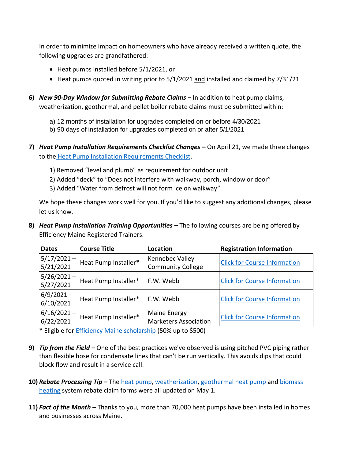In order to minimize impact on homeowners who have already received a written quote, the following upgrades are grandfathered:

- Heat pumps installed before 5/1/2021, or
- Heat pumps quoted in writing prior to 5/1/2021 and installed and claimed by 7/31/21
- **6)** *New 90-Day Window for Submitting Rebate Claims –* In addition to heat pump claims, weatherization, geothermal, and pellet boiler rebate claims must be submitted within:
	- a) 12 months of installation for upgrades completed on or before 4/30/2021
	- b) 90 days of installation for upgrades completed on or after 5/1/2021
- **7)** *Heat Pump Installation Requirements Checklist Changes* **–** On April 21, we made three changes to the [Heat Pump Installation Requirements Checklist.](https://www.efficiencymaine.com/docs/Residential-Heat-Pump-Installation-Checklist.pdf)
	- 1) Removed "level and plumb" as requirement for outdoor unit
	- 2) Added "deck" to "Does not interfere with walkway, porch, window or door"
	- 3) Added "Water from defrost will not form ice on walkway"

We hope these changes work well for you. If you'd like to suggest any additional changes, please let us know.

**8)** *Heat Pump Installation Training Opportunities* **–** The following courses are being offered by Efficiency Maine Registered Trainers.

| <b>Dates</b>               | <b>Course Title</b>  | <b>Location</b>                              | <b>Registration Information</b>     |
|----------------------------|----------------------|----------------------------------------------|-------------------------------------|
| $5/17/2021 -$<br>5/21/2021 | Heat Pump Installer* | Kennebec Valley<br><b>Community College</b>  | <b>Click for Course Information</b> |
| $5/26/2021 -$<br>5/27/2021 | Heat Pump Installer* | F.W. Webb                                    | <b>Click for Course Information</b> |
| $6/9/2021 -$<br>6/10/2021  | Heat Pump Installer* | F.W. Webb                                    | <b>Click for Course Information</b> |
| $6/16/2021 -$<br>6/22/2021 | Heat Pump Installer* | Maine Energy<br><b>Marketers Association</b> | <b>Click for Course Information</b> |

\* Eligible for [Efficiency Maine scholarship](https://www.efficiencymaine.com/docs/RRV-Heat-Pump-Training-Scholarship-Application.pdf) (50% up to \$500)

- **9)** *Tip from the Field –* One of the best practices we've observed is using pitched PVC piping rather than flexible hose for condensate lines that can't be run vertically. This avoids dips that could block flow and result in a service call.
- **10)** *Rebate Processing Tip –* Th[e heat pump,](https://www.efficiencymaine.com/docs/Residential-Heat-Pump-Rebate-Claim-Form.pdf) [weatherization,](https://www.efficiencymaine.com/docs/Weatherization-Rebate-Claim-Form.pdf) [geothermal heat pump](https://www.efficiencymaine.com/docs/Geothermal-Rebate-Claim-Form.pdf) and [biomass](https://www.efficiencymaine.com/docs/Biomass-Heating-Systems-Rebate-Claim-Form.pdf)  [heating](https://www.efficiencymaine.com/docs/Biomass-Heating-Systems-Rebate-Claim-Form.pdf) system rebate claim forms were all updated on May 1.
- **11)** *Fact of the Month –* Thanks to you, more than 70,000 heat pumps have been installed in homes and businesses across Maine.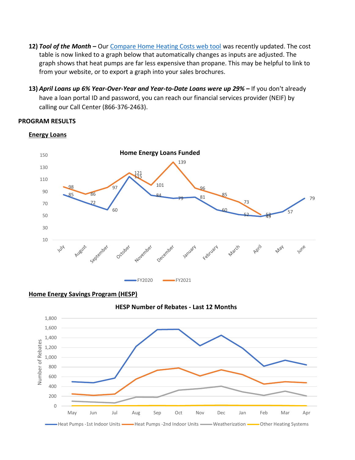- **12)** *Tool of the Month –* Our [Compare Home Heating Costs web tool](https://www.efficiencymaine.com/at-home/heating-cost-comparison/) was recently updated. The cost table is now linked to a graph below that automatically changes as inputs are adjusted. The graph shows that heat pumps are far less expensive than propane. This may be helpful to link to from your website, or to export a graph into your sales brochures.
- **13)** *April Loans up 6% Year-Over-Year and Year-to-Date Loans were up 29% –* If you don't already have a loan portal ID and password, you can reach our financial services provider (NEIF) by calling our Call Center (866-376-2463).

#### **PROGRAM RESULTS**



#### **Energy Loans**

**Home Energy Savings Program (HESP)**



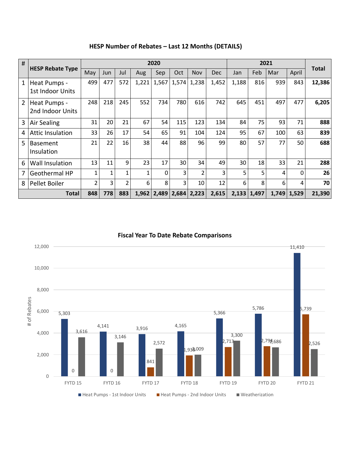| # |                                  | 2020           |     |     |       |          |       |                |            |       |               |       |       |              |
|---|----------------------------------|----------------|-----|-----|-------|----------|-------|----------------|------------|-------|---------------|-------|-------|--------------|
|   | <b>HESP Rebate Type</b>          | May            | Jun | Jul | Aug   | Sep      | Oct   | Nov            | <b>Dec</b> | Jan   | Feb           | Mar   | April | <b>Total</b> |
| 1 | Heat Pumps -<br>1st Indoor Units | 499            | 477 | 572 | 1,221 | 1,567    | 1,574 | 1,238          | 1,452      | 1,188 | 816           | 939   | 843   | 12,386       |
| 2 | Heat Pumps -<br>2nd Indoor Units | 248            | 218 | 245 | 552   | 734      | 780   | 616            | 742        | 645   | 451           | 497   | 477   | 6,205        |
| 3 | <b>Air Sealing</b>               | 31             | 20  | 21  | 67    | 54       | 115   | 123            | 134        | 84    | 75            | 93    | 71    | 888          |
| 4 | <b>Attic Insulation</b>          | 33             | 26  | 17  | 54    | 65       | 91    | 104            | 124        | 95    | 67            | 100   | 63    | 839          |
| 5 | <b>Basement</b><br>Insulation    | 21             | 22  | 16  | 38    | 44       | 88    | 96             | 99         | 80    | 57            | 77    | 50    | 688          |
| 6 | <b>Wall Insulation</b>           | 13             | 11  | 9   | 23    | 17       | 30    | 34             | 49         | 30    | 18            | 33    | 21    | 288          |
| 7 | <b>Geothermal HP</b>             | 1              | 1   | 1   | 1     | $\Omega$ | 3     | $\overline{2}$ | 3          | 5     | 5             | 4     | 0     | 26           |
| 8 | Pellet Boiler                    | $\overline{2}$ | 3   | 2   | 6     | 8        | 3     | 10             | 12         | 6     | 8             | 6     | 4     | 70           |
|   | <b>Total</b>                     | 848            | 778 | 883 | 1,962 | 2,489    | 2,684 | 2,223          | 2,615      |       | $2,133$ 1,497 | 1,749 | 1,529 | 21,390       |

## **HESP Number of Rebates – Last 12 Months (DETAILS)**

### **Fiscal Year To Date Rebate Comparisons**

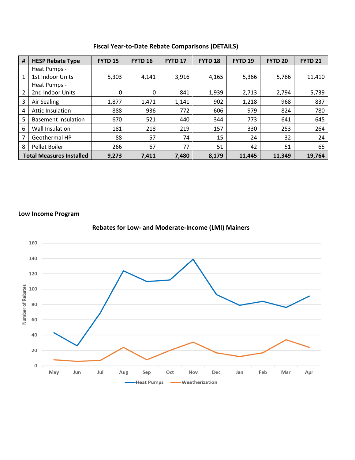| #                               | <b>HESP Rebate Type</b>    | <b>FYTD 15</b> | <b>FYTD 16</b> | <b>FYTD 17</b> | FYTD <sub>18</sub> | FYTD <sub>19</sub> | <b>FYTD 20</b> | <b>FYTD 21</b> |
|---------------------------------|----------------------------|----------------|----------------|----------------|--------------------|--------------------|----------------|----------------|
|                                 | Heat Pumps -               |                |                |                |                    |                    |                |                |
| $\mathbf{1}$                    | 1st Indoor Units           | 5,303          | 4,141          | 3,916          | 4,165              | 5,366              | 5,786          | 11,410         |
|                                 | Heat Pumps -               |                |                |                |                    |                    |                |                |
| 2                               | 2nd Indoor Units           | 0              | 0              | 841            | 1,939              | 2,713              | 2,794          | 5,739          |
| 3                               | Air Sealing                | 1,877          | 1,471          | 1,141          | 902                | 1,218              | 968            | 837            |
| 4                               | Attic Insulation           | 888            | 936            | 772            | 606                | 979                | 824            | 780            |
| 5                               | <b>Basement Insulation</b> | 670            | 521            | 440            | 344                | 773                | 641            | 645            |
| 6                               | Wall Insulation            | 181            | 218            | 219            | 157                | 330                | 253            | 264            |
| 7                               | Geothermal HP              | 88             | 57             | 74             | 15                 | 24                 | 32             | 24             |
| 8                               | Pellet Boiler              | 266            | 67             | 77             | 51                 | 42                 | 51             | 65             |
| <b>Total Measures Installed</b> |                            | 9,273          | 7,411          | 7,480          | 8,179              | 11,445             | 11,349         | 19,764         |

**Fiscal Year-to-Date Rebate Comparisons (DETAILS)**

#### **Low Income Program**



**Rebates for Low- and Moderate-Income (LMI) Mainers**